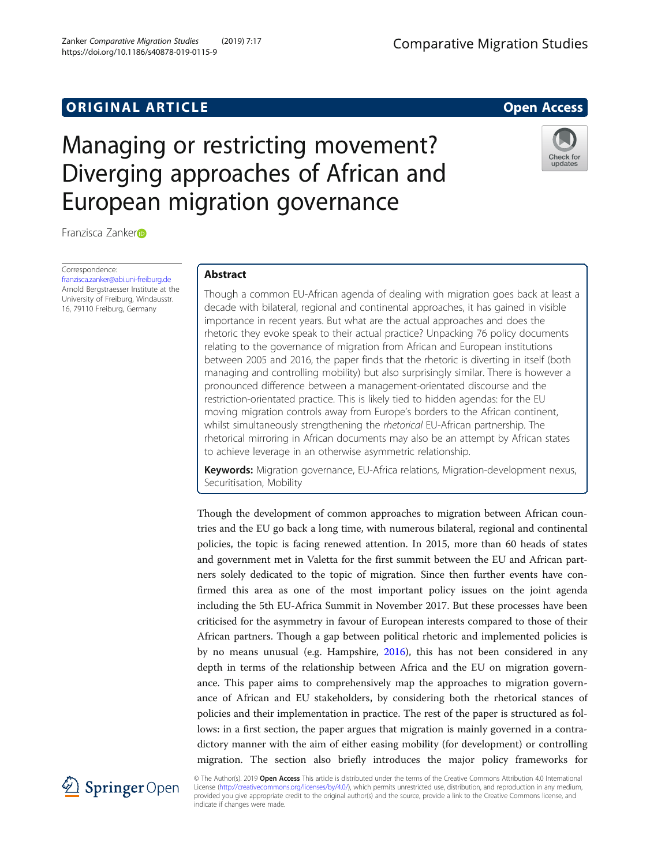## **ORIGINAL ARTICLE CONSERVANCE IN A LOCAL CONSERVANCE IN A LOCAL CONSERVANCE IN A LOCAL CONSERVANCE IN A LOCAL CONSERVANCE IN A LOCAL CONSERVANCE IN A LOCAL CONSERVANCE IN A LOCAL CONSERVANCE IN A LOCAL CONSERVANCE IN A L**

# Managing or restricting movement? Diverging approaches of African and European migration governance

Franzisca Zanke[r](http://orcid.org/0000-0002-1345-0364)

Correspondence: [franzisca.zanker@abi.uni-freiburg.de](mailto:franzisca.zanker@abi.uni-freiburg.de) Arnold Bergstraesser Institute at the University of Freiburg, Windausstr. 16, 79110 Freiburg, Germany

## Abstract

Though a common EU-African agenda of dealing with migration goes back at least a decade with bilateral, regional and continental approaches, it has gained in visible importance in recent years. But what are the actual approaches and does the rhetoric they evoke speak to their actual practice? Unpacking 76 policy documents relating to the governance of migration from African and European institutions between 2005 and 2016, the paper finds that the rhetoric is diverting in itself (both managing and controlling mobility) but also surprisingly similar. There is however a pronounced difference between a management-orientated discourse and the restriction-orientated practice. This is likely tied to hidden agendas: for the EU moving migration controls away from Europe's borders to the African continent, whilst simultaneously strengthening the rhetorical EU-African partnership. The rhetorical mirroring in African documents may also be an attempt by African states to achieve leverage in an otherwise asymmetric relationship.

Keywords: Migration governance, EU-Africa relations, Migration-development nexus, Securitisation, Mobility

Though the development of common approaches to migration between African countries and the EU go back a long time, with numerous bilateral, regional and continental policies, the topic is facing renewed attention. In 2015, more than 60 heads of states and government met in Valetta for the first summit between the EU and African partners solely dedicated to the topic of migration. Since then further events have confirmed this area as one of the most important policy issues on the joint agenda including the 5th EU-Africa Summit in November 2017. But these processes have been criticised for the asymmetry in favour of European interests compared to those of their African partners. Though a gap between political rhetoric and implemented policies is by no means unusual (e.g. Hampshire, [2016\)](#page-17-0), this has not been considered in any depth in terms of the relationship between Africa and the EU on migration governance. This paper aims to comprehensively map the approaches to migration governance of African and EU stakeholders, by considering both the rhetorical stances of policies and their implementation in practice. The rest of the paper is structured as follows: in a first section, the paper argues that migration is mainly governed in a contradictory manner with the aim of either easing mobility (for development) or controlling migration. The section also briefly introduces the major policy frameworks for



© The Author(s). 2019 Open Access This article is distributed under the terms of the Creative Commons Attribution 4.0 International License [\(http://creativecommons.org/licenses/by/4.0/](http://creativecommons.org/licenses/by/4.0/)), which permits unrestricted use, distribution, and reproduction in any medium, provided you give appropriate credit to the original author(s) and the source, provide a link to the Creative Commons license, and indicate if changes were made.



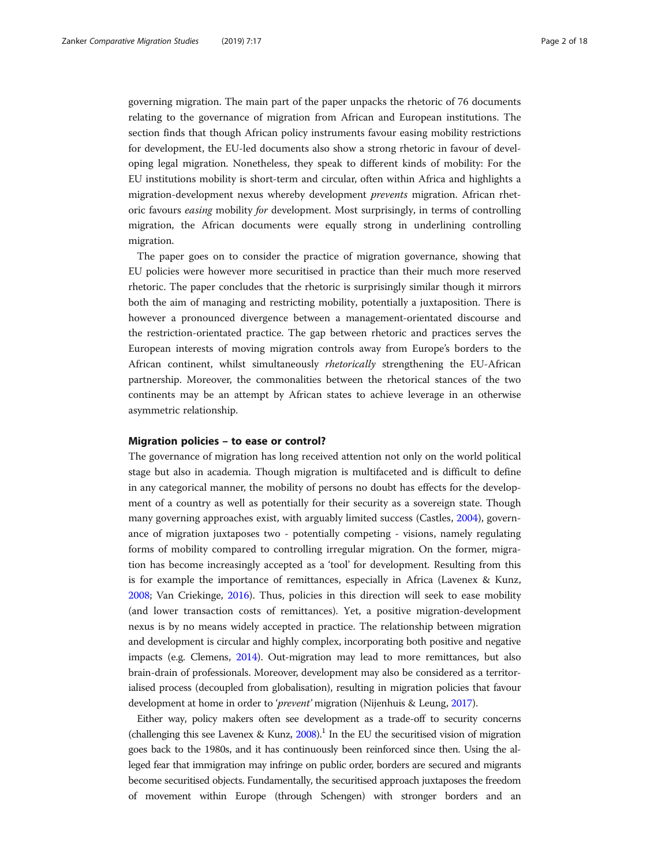governing migration. The main part of the paper unpacks the rhetoric of 76 documents relating to the governance of migration from African and European institutions. The section finds that though African policy instruments favour easing mobility restrictions for development, the EU-led documents also show a strong rhetoric in favour of developing legal migration. Nonetheless, they speak to different kinds of mobility: For the EU institutions mobility is short-term and circular, often within Africa and highlights a migration-development nexus whereby development prevents migration. African rhetoric favours easing mobility for development. Most surprisingly, in terms of controlling migration, the African documents were equally strong in underlining controlling migration.

The paper goes on to consider the practice of migration governance, showing that EU policies were however more securitised in practice than their much more reserved rhetoric. The paper concludes that the rhetoric is surprisingly similar though it mirrors both the aim of managing and restricting mobility, potentially a juxtaposition. There is however a pronounced divergence between a management-orientated discourse and the restriction-orientated practice. The gap between rhetoric and practices serves the European interests of moving migration controls away from Europe's borders to the African continent, whilst simultaneously rhetorically strengthening the EU-African partnership. Moreover, the commonalities between the rhetorical stances of the two continents may be an attempt by African states to achieve leverage in an otherwise asymmetric relationship.

## Migration policies – to ease or control?

The governance of migration has long received attention not only on the world political stage but also in academia. Though migration is multifaceted and is difficult to define in any categorical manner, the mobility of persons no doubt has effects for the development of a country as well as potentially for their security as a sovereign state. Though many governing approaches exist, with arguably limited success (Castles, [2004](#page-17-0)), governance of migration juxtaposes two - potentially competing - visions, namely regulating forms of mobility compared to controlling irregular migration. On the former, migration has become increasingly accepted as a 'tool' for development. Resulting from this is for example the importance of remittances, especially in Africa (Lavenex & Kunz, [2008](#page-17-0); Van Criekinge, [2016](#page-17-0)). Thus, policies in this direction will seek to ease mobility (and lower transaction costs of remittances). Yet, a positive migration-development nexus is by no means widely accepted in practice. The relationship between migration and development is circular and highly complex, incorporating both positive and negative impacts (e.g. Clemens, [2014\)](#page-17-0). Out-migration may lead to more remittances, but also brain-drain of professionals. Moreover, development may also be considered as a territorialised process (decoupled from globalisation), resulting in migration policies that favour development at home in order to 'prevent' migration (Nijenhuis & Leung, [2017\)](#page-17-0).

Either way, policy makers often see development as a trade-off to security concerns (challenging this see Lavenex & Kunz,  $2008$ ).<sup>1</sup> In the EU the securitised vision of migration goes back to the 1980s, and it has continuously been reinforced since then. Using the alleged fear that immigration may infringe on public order, borders are secured and migrants become securitised objects. Fundamentally, the securitised approach juxtaposes the freedom of movement within Europe (through Schengen) with stronger borders and an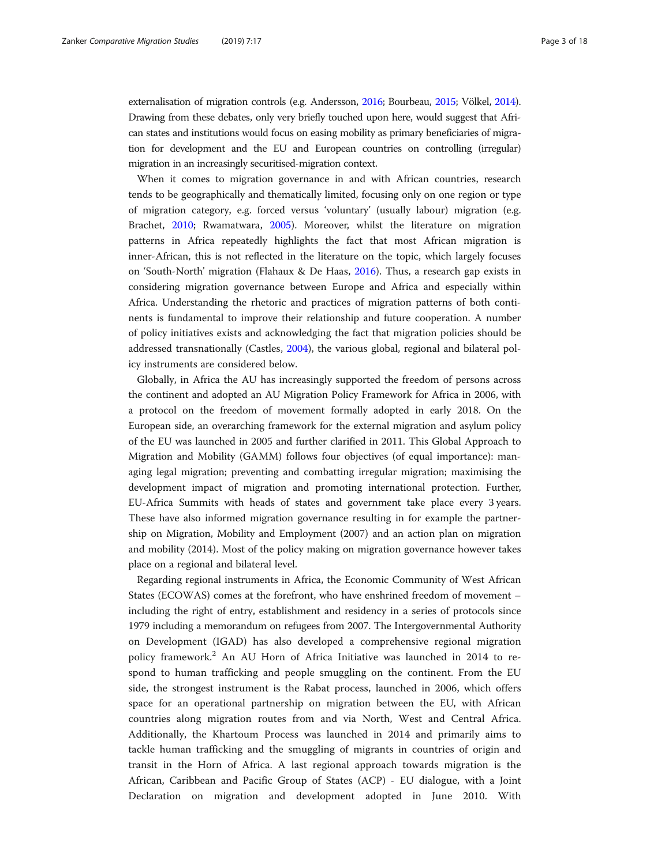externalisation of migration controls (e.g. Andersson, [2016;](#page-17-0) Bourbeau, [2015;](#page-17-0) Völkel, [2014](#page-17-0)). Drawing from these debates, only very briefly touched upon here, would suggest that African states and institutions would focus on easing mobility as primary beneficiaries of migration for development and the EU and European countries on controlling (irregular) migration in an increasingly securitised-migration context.

When it comes to migration governance in and with African countries, research tends to be geographically and thematically limited, focusing only on one region or type of migration category, e.g. forced versus 'voluntary' (usually labour) migration (e.g. Brachet, [2010](#page-17-0); Rwamatwara, [2005\)](#page-17-0). Moreover, whilst the literature on migration patterns in Africa repeatedly highlights the fact that most African migration is inner-African, this is not reflected in the literature on the topic, which largely focuses on 'South-North' migration (Flahaux & De Haas, [2016\)](#page-17-0). Thus, a research gap exists in considering migration governance between Europe and Africa and especially within Africa. Understanding the rhetoric and practices of migration patterns of both continents is fundamental to improve their relationship and future cooperation. A number of policy initiatives exists and acknowledging the fact that migration policies should be addressed transnationally (Castles, [2004](#page-17-0)), the various global, regional and bilateral policy instruments are considered below.

Globally, in Africa the AU has increasingly supported the freedom of persons across the continent and adopted an AU Migration Policy Framework for Africa in 2006, with a protocol on the freedom of movement formally adopted in early 2018. On the European side, an overarching framework for the external migration and asylum policy of the EU was launched in 2005 and further clarified in 2011. This Global Approach to Migration and Mobility (GAMM) follows four objectives (of equal importance): managing legal migration; preventing and combatting irregular migration; maximising the development impact of migration and promoting international protection. Further, EU-Africa Summits with heads of states and government take place every 3 years. These have also informed migration governance resulting in for example the partnership on Migration, Mobility and Employment (2007) and an action plan on migration and mobility (2014). Most of the policy making on migration governance however takes place on a regional and bilateral level.

Regarding regional instruments in Africa, the Economic Community of West African States (ECOWAS) comes at the forefront, who have enshrined freedom of movement – including the right of entry, establishment and residency in a series of protocols since 1979 including a memorandum on refugees from 2007. The Intergovernmental Authority on Development (IGAD) has also developed a comprehensive regional migration policy framework.<sup>2</sup> An AU Horn of Africa Initiative was launched in 2014 to respond to human trafficking and people smuggling on the continent. From the EU side, the strongest instrument is the Rabat process, launched in 2006, which offers space for an operational partnership on migration between the EU, with African countries along migration routes from and via North, West and Central Africa. Additionally, the Khartoum Process was launched in 2014 and primarily aims to tackle human trafficking and the smuggling of migrants in countries of origin and transit in the Horn of Africa. A last regional approach towards migration is the African, Caribbean and Pacific Group of States (ACP) - EU dialogue, with a Joint Declaration on migration and development adopted in June 2010. With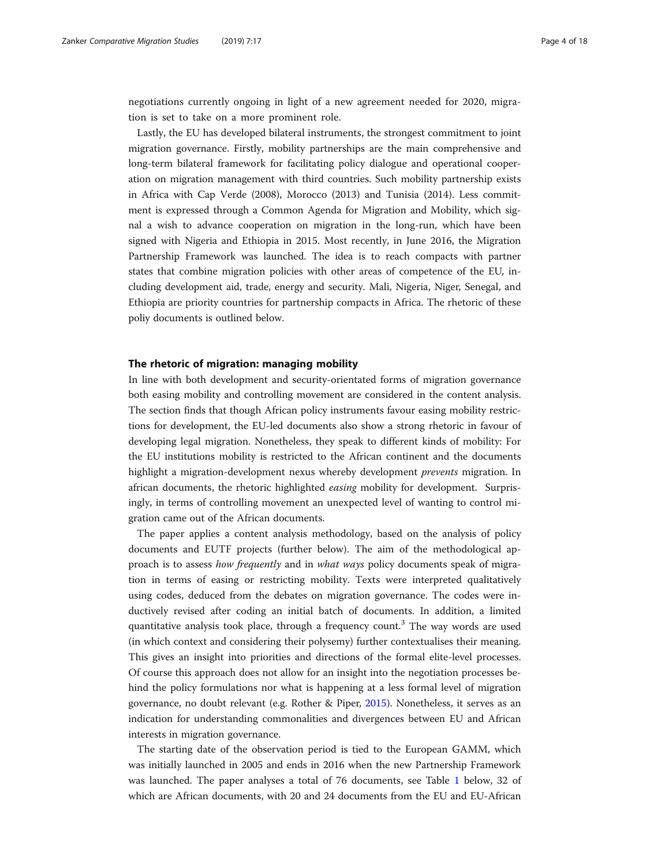negotiations currently ongoing in light of a new agreement needed for 2020, migration is set to take on a more prominent role.

Lastly, the EU has developed bilateral instruments, the strongest commitment to joint migration governance. Firstly, mobility partnerships are the main comprehensive and long-term bilateral framework for facilitating policy dialogue and operational cooperation on migration management with third countries. Such mobility partnership exists in Africa with Cap Verde (2008), Morocco (2013) and Tunisia (2014). Less commitment is expressed through a Common Agenda for Migration and Mobility, which signal a wish to advance cooperation on migration in the long-run, which have been signed with Nigeria and Ethiopia in 2015. Most recently, in June 2016, the Migration Partnership Framework was launched. The idea is to reach compacts with partner states that combine migration policies with other areas of competence of the EU, including development aid, trade, energy and security. Mali, Nigeria, Niger, Senegal, and Ethiopia are priority countries for partnership compacts in Africa. The rhetoric of these poliy documents is outlined below.

## The rhetoric of migration: managing mobility

In line with both development and security-orientated forms of migration governance both easing mobility and controlling movement are considered in the content analysis. The section finds that though African policy instruments favour easing mobility restrictions for development, the EU-led documents also show a strong rhetoric in favour of developing legal migration. Nonetheless, they speak to different kinds of mobility: For the EU institutions mobility is restricted to the African continent and the documents highlight a migration-development nexus whereby development prevents migration. In african documents, the rhetoric highlighted easing mobility for development. Surprisingly, in terms of controlling movement an unexpected level of wanting to control migration came out of the African documents.

The paper applies a content analysis methodology, based on the analysis of policy documents and EUTF projects (further below). The aim of the methodological approach is to assess how frequently and in what ways policy documents speak of migration in terms of easing or restricting mobility. Texts were interpreted qualitatively using codes, deduced from the debates on migration governance. The codes were inductively revised after coding an initial batch of documents. In addition, a limited quantitative analysis took place, through a frequency count.<sup>3</sup> The way words are used (in which context and considering their polysemy) further contextualises their meaning. This gives an insight into priorities and directions of the formal elite-level processes. Of course this approach does not allow for an insight into the negotiation processes behind the policy formulations nor what is happening at a less formal level of migration governance, no doubt relevant (e.g. Rother & Piper, [2015](#page-17-0)). Nonetheless, it serves as an indication for understanding commonalities and divergences between EU and African interests in migration governance.

The starting date of the observation period is tied to the European GAMM, which was initially launched in 2005 and ends in 2016 when the new Partnership Framework was launched. The paper analyses a total of 76 documents, see Table [1](#page-4-0) below, 32 of which are African documents, with 20 and 24 documents from the EU and EU-African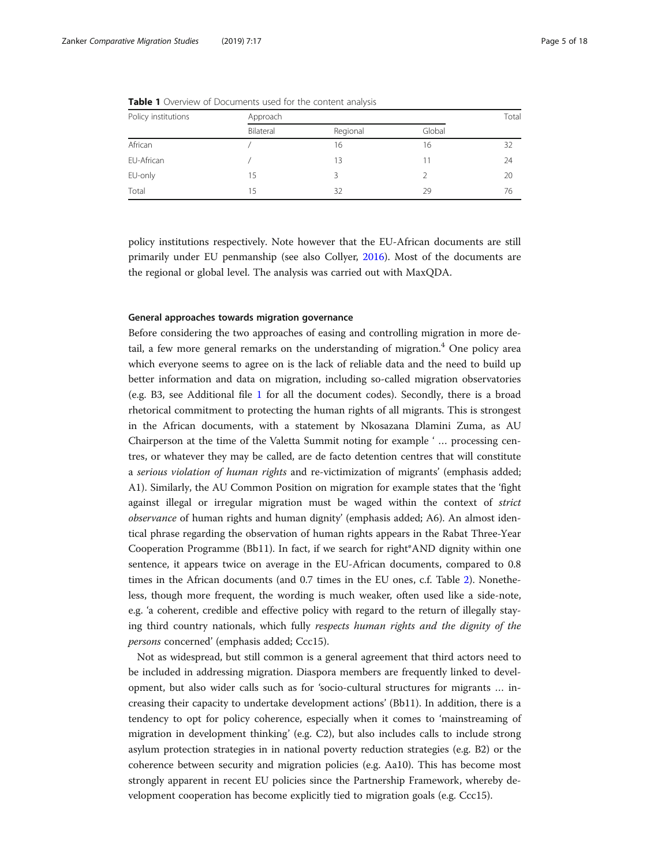| Policy institutions | Approach  |          |        |    |
|---------------------|-----------|----------|--------|----|
|                     | Bilateral | Regional | Global |    |
| African             |           | 16       | 16     | 32 |
| EU-African          |           | 13       |        | 24 |
| EU-only             | 15        |          |        | 20 |
| Total               | 15        | 32       | 29     | 76 |

<span id="page-4-0"></span>Table 1 Overview of Documents used for the content analysis

policy institutions respectively. Note however that the EU-African documents are still primarily under EU penmanship (see also Collyer, [2016](#page-17-0)). Most of the documents are the regional or global level. The analysis was carried out with MaxQDA.

## General approaches towards migration governance

Before considering the two approaches of easing and controlling migration in more detail, a few more general remarks on the understanding of migration.<sup>4</sup> One policy area which everyone seems to agree on is the lack of reliable data and the need to build up better information and data on migration, including so-called migration observatories (e.g. B3, see Additional file [1](#page-16-0) for all the document codes). Secondly, there is a broad rhetorical commitment to protecting the human rights of all migrants. This is strongest in the African documents, with a statement by Nkosazana Dlamini Zuma, as AU Chairperson at the time of the Valetta Summit noting for example ' … processing centres, or whatever they may be called, are de facto detention centres that will constitute a serious violation of human rights and re-victimization of migrants' (emphasis added; A1). Similarly, the AU Common Position on migration for example states that the 'fight against illegal or irregular migration must be waged within the context of strict observance of human rights and human dignity' (emphasis added; A6). An almost identical phrase regarding the observation of human rights appears in the Rabat Three-Year Cooperation Programme (Bb11). In fact, if we search for right\*AND dignity within one sentence, it appears twice on average in the EU-African documents, compared to 0.8 times in the African documents (and 0.7 times in the EU ones, c.f. Table [2\)](#page-5-0). Nonetheless, though more frequent, the wording is much weaker, often used like a side-note, e.g. 'a coherent, credible and effective policy with regard to the return of illegally staying third country nationals, which fully respects human rights and the dignity of the persons concerned' (emphasis added; Ccc15).

Not as widespread, but still common is a general agreement that third actors need to be included in addressing migration. Diaspora members are frequently linked to development, but also wider calls such as for 'socio-cultural structures for migrants … increasing their capacity to undertake development actions' (Bb11). In addition, there is a tendency to opt for policy coherence, especially when it comes to 'mainstreaming of migration in development thinking' (e.g. C2), but also includes calls to include strong asylum protection strategies in in national poverty reduction strategies (e.g. B2) or the coherence between security and migration policies (e.g. Aa10). This has become most strongly apparent in recent EU policies since the Partnership Framework, whereby development cooperation has become explicitly tied to migration goals (e.g. Ccc15).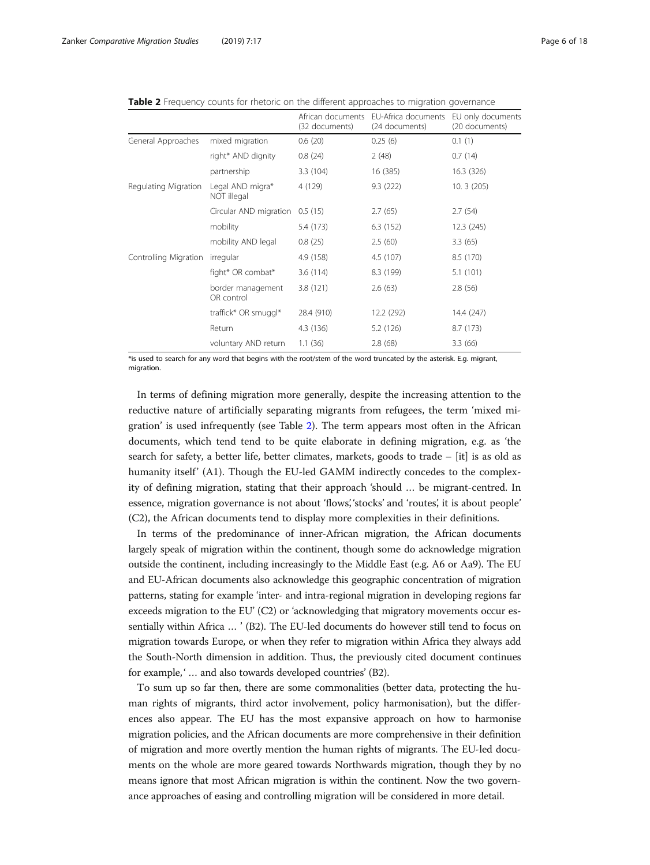<span id="page-5-0"></span>

|  |  |  |  |  | <b>Table 2</b> Frequency counts for rhetoric on the different approaches to migration governance |
|--|--|--|--|--|--------------------------------------------------------------------------------------------------|
|--|--|--|--|--|--------------------------------------------------------------------------------------------------|

|                       |                                 | African documents<br>(32 documents) | EU-Africa documents<br>(24 documents) | EU only documents<br>(20 documents) |
|-----------------------|---------------------------------|-------------------------------------|---------------------------------------|-------------------------------------|
| General Approaches    | mixed migration                 | 0.6(20)                             | 0.25(6)                               | 0.1(1)                              |
|                       | right* AND dignity              | 0.8(24)                             | 2(48)                                 | 0.7(14)                             |
|                       | partnership                     | 3.3(104)                            | 16 (385)                              | 16.3 (326)                          |
| Regulating Migration  | Legal AND migra*<br>NOT illegal | 4 (129)                             | 9.3(222)                              | 10.3(205)                           |
|                       | Circular AND migration          | 0.5(15)                             | 2.7(65)                               | 2.7(54)                             |
|                       | mobility                        | 5.4 (173)                           | 6.3(152)                              | 12.3(245)                           |
|                       | mobility AND legal              | 0.8(25)                             | 2.5(60)                               | 3.3(65)                             |
| Controlling Migration | irregular                       | 4.9 (158)                           | 4.5 (107)                             | 8.5 (170)                           |
|                       | fight* OR combat*               | 3.6(114)                            | 8.3 (199)                             | 5.1(101)                            |
|                       | border management<br>OR control | 3.8(121)                            | 2.6(63)                               | 2.8(56)                             |
|                       | traffick* OR smuggl*            | 28.4 (910)                          | 12.2 (292)                            | 14.4 (247)                          |
|                       | Return                          | 4.3(136)                            | 5.2 (126)                             | 8.7 (173)                           |
|                       | voluntary AND return            | 1.1(36)                             | 2.8(68)                               | 3.3(66)                             |

\*is used to search for any word that begins with the root/stem of the word truncated by the asterisk. E.g. migrant, migration.

In terms of defining migration more generally, despite the increasing attention to the reductive nature of artificially separating migrants from refugees, the term 'mixed migration' is used infrequently (see Table 2). The term appears most often in the African documents, which tend tend to be quite elaborate in defining migration, e.g. as 'the search for safety, a better life, better climates, markets, goods to trade  $-$  [it] is as old as humanity itself' (A1). Though the EU-led GAMM indirectly concedes to the complexity of defining migration, stating that their approach 'should … be migrant-centred. In essence, migration governance is not about 'flows', 'stocks' and 'routes', it is about people' (C2), the African documents tend to display more complexities in their definitions.

In terms of the predominance of inner-African migration, the African documents largely speak of migration within the continent, though some do acknowledge migration outside the continent, including increasingly to the Middle East (e.g. A6 or Aa9). The EU and EU-African documents also acknowledge this geographic concentration of migration patterns, stating for example 'inter- and intra-regional migration in developing regions far exceeds migration to the EU' (C2) or 'acknowledging that migratory movements occur essentially within Africa … ' (B2). The EU-led documents do however still tend to focus on migration towards Europe, or when they refer to migration within Africa they always add the South-North dimension in addition. Thus, the previously cited document continues for example, '... and also towards developed countries' (B2).

To sum up so far then, there are some commonalities (better data, protecting the human rights of migrants, third actor involvement, policy harmonisation), but the differences also appear. The EU has the most expansive approach on how to harmonise migration policies, and the African documents are more comprehensive in their definition of migration and more overtly mention the human rights of migrants. The EU-led documents on the whole are more geared towards Northwards migration, though they by no means ignore that most African migration is within the continent. Now the two governance approaches of easing and controlling migration will be considered in more detail.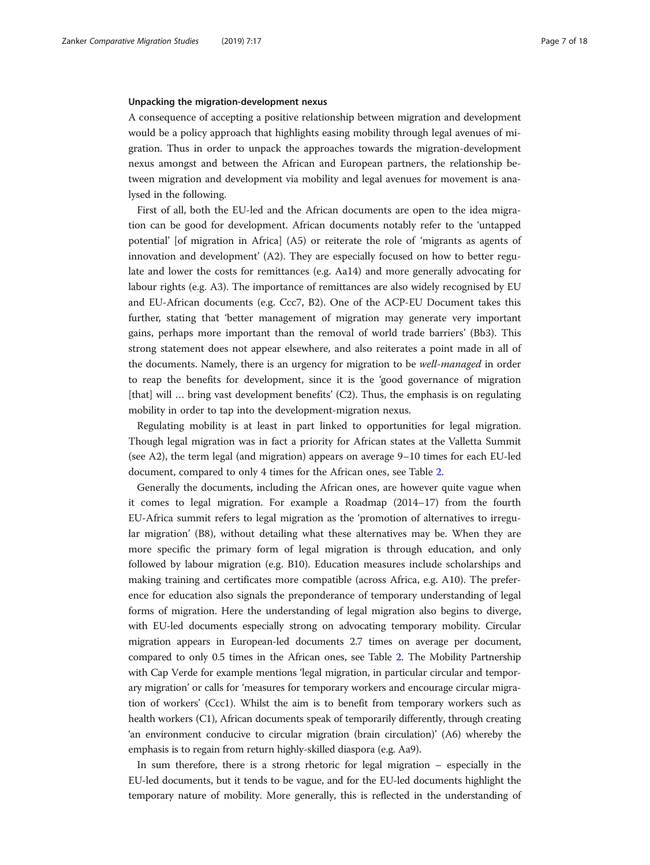#### Unpacking the migration-development nexus

A consequence of accepting a positive relationship between migration and development would be a policy approach that highlights easing mobility through legal avenues of migration. Thus in order to unpack the approaches towards the migration-development nexus amongst and between the African and European partners, the relationship between migration and development via mobility and legal avenues for movement is analysed in the following.

First of all, both the EU-led and the African documents are open to the idea migration can be good for development. African documents notably refer to the 'untapped potential' [of migration in Africa] (A5) or reiterate the role of 'migrants as agents of innovation and development' (A2). They are especially focused on how to better regulate and lower the costs for remittances (e.g. Aa14) and more generally advocating for labour rights (e.g. A3). The importance of remittances are also widely recognised by EU and EU-African documents (e.g. Ccc7, B2). One of the ACP-EU Document takes this further, stating that 'better management of migration may generate very important gains, perhaps more important than the removal of world trade barriers' (Bb3). This strong statement does not appear elsewhere, and also reiterates a point made in all of the documents. Namely, there is an urgency for migration to be well-managed in order to reap the benefits for development, since it is the 'good governance of migration  $[$ that $]$  will ... bring vast development benefits'  $(C2)$ . Thus, the emphasis is on regulating mobility in order to tap into the development-migration nexus.

Regulating mobility is at least in part linked to opportunities for legal migration. Though legal migration was in fact a priority for African states at the Valletta Summit (see A2), the term legal (and migration) appears on average 9–10 times for each EU-led document, compared to only 4 times for the African ones, see Table [2.](#page-5-0)

Generally the documents, including the African ones, are however quite vague when it comes to legal migration. For example a Roadmap (2014–17) from the fourth EU-Africa summit refers to legal migration as the 'promotion of alternatives to irregular migration' (B8), without detailing what these alternatives may be. When they are more specific the primary form of legal migration is through education, and only followed by labour migration (e.g. B10). Education measures include scholarships and making training and certificates more compatible (across Africa, e.g. A10). The preference for education also signals the preponderance of temporary understanding of legal forms of migration. Here the understanding of legal migration also begins to diverge, with EU-led documents especially strong on advocating temporary mobility. Circular migration appears in European-led documents 2.7 times on average per document, compared to only 0.5 times in the African ones, see Table [2.](#page-5-0) The Mobility Partnership with Cap Verde for example mentions 'legal migration, in particular circular and temporary migration' or calls for 'measures for temporary workers and encourage circular migration of workers' (Ccc1). Whilst the aim is to benefit from temporary workers such as health workers (C1), African documents speak of temporarily differently, through creating 'an environment conducive to circular migration (brain circulation)' (A6) whereby the emphasis is to regain from return highly-skilled diaspora (e.g. Aa9).

In sum therefore, there is a strong rhetoric for legal migration – especially in the EU-led documents, but it tends to be vague, and for the EU-led documents highlight the temporary nature of mobility. More generally, this is reflected in the understanding of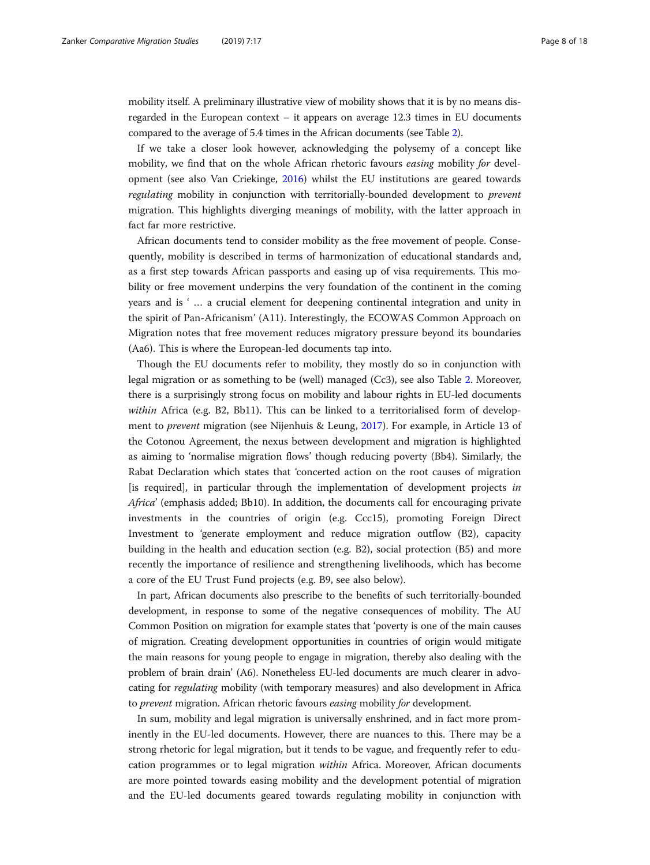mobility itself. A preliminary illustrative view of mobility shows that it is by no means disregarded in the European context – it appears on average 12.3 times in EU documents compared to the average of 5.4 times in the African documents (see Table [2](#page-5-0)).

If we take a closer look however, acknowledging the polysemy of a concept like mobility, we find that on the whole African rhetoric favours *easing* mobility for development (see also Van Criekinge, [2016](#page-17-0)) whilst the EU institutions are geared towards regulating mobility in conjunction with territorially-bounded development to prevent migration. This highlights diverging meanings of mobility, with the latter approach in fact far more restrictive.

African documents tend to consider mobility as the free movement of people. Consequently, mobility is described in terms of harmonization of educational standards and, as a first step towards African passports and easing up of visa requirements. This mobility or free movement underpins the very foundation of the continent in the coming years and is ' … a crucial element for deepening continental integration and unity in the spirit of Pan-Africanism' (A11). Interestingly, the ECOWAS Common Approach on Migration notes that free movement reduces migratory pressure beyond its boundaries (Aa6). This is where the European-led documents tap into.

Though the EU documents refer to mobility, they mostly do so in conjunction with legal migration or as something to be (well) managed (Cc3), see also Table [2](#page-5-0). Moreover, there is a surprisingly strong focus on mobility and labour rights in EU-led documents within Africa (e.g. B2, Bb11). This can be linked to a territorialised form of development to prevent migration (see Nijenhuis & Leung, [2017\)](#page-17-0). For example, in Article 13 of the Cotonou Agreement, the nexus between development and migration is highlighted as aiming to 'normalise migration flows' though reducing poverty (Bb4). Similarly, the Rabat Declaration which states that 'concerted action on the root causes of migration [is required], in particular through the implementation of development projects in Africa' (emphasis added; Bb10). In addition, the documents call for encouraging private investments in the countries of origin (e.g. Ccc15), promoting Foreign Direct Investment to 'generate employment and reduce migration outflow (B2), capacity building in the health and education section (e.g. B2), social protection (B5) and more recently the importance of resilience and strengthening livelihoods, which has become a core of the EU Trust Fund projects (e.g. B9, see also below).

In part, African documents also prescribe to the benefits of such territorially-bounded development, in response to some of the negative consequences of mobility. The AU Common Position on migration for example states that 'poverty is one of the main causes of migration. Creating development opportunities in countries of origin would mitigate the main reasons for young people to engage in migration, thereby also dealing with the problem of brain drain' (A6). Nonetheless EU-led documents are much clearer in advocating for regulating mobility (with temporary measures) and also development in Africa to prevent migration. African rhetoric favours easing mobility for development.

In sum, mobility and legal migration is universally enshrined, and in fact more prominently in the EU-led documents. However, there are nuances to this. There may be a strong rhetoric for legal migration, but it tends to be vague, and frequently refer to education programmes or to legal migration within Africa. Moreover, African documents are more pointed towards easing mobility and the development potential of migration and the EU-led documents geared towards regulating mobility in conjunction with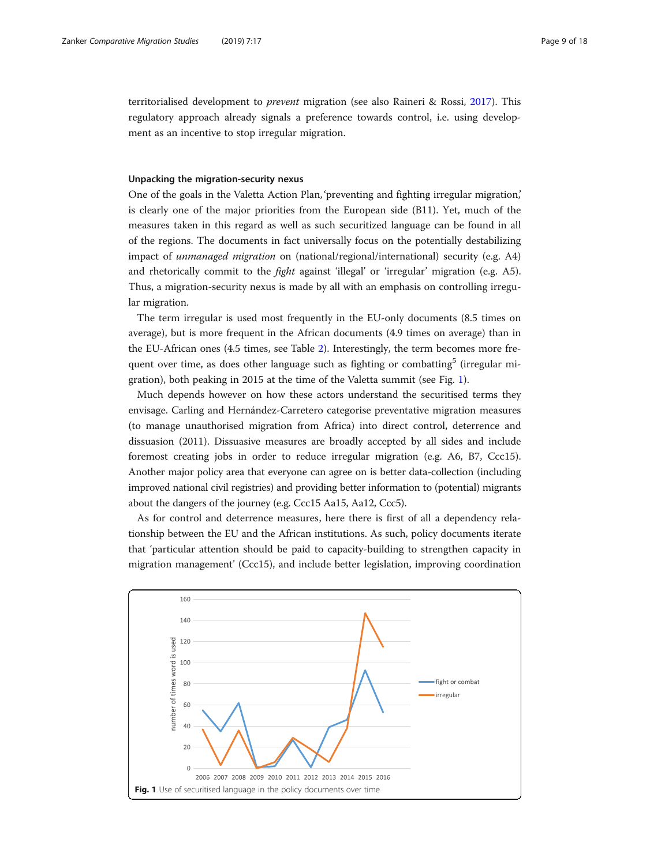territorialised development to prevent migration (see also Raineri & Rossi, [2017\)](#page-17-0). This regulatory approach already signals a preference towards control, i.e. using development as an incentive to stop irregular migration.

## Unpacking the migration-security nexus

One of the goals in the Valetta Action Plan, 'preventing and fighting irregular migration,' is clearly one of the major priorities from the European side (B11). Yet, much of the measures taken in this regard as well as such securitized language can be found in all of the regions. The documents in fact universally focus on the potentially destabilizing impact of unmanaged migration on (national/regional/international) security (e.g. A4) and rhetorically commit to the fight against 'illegal' or 'irregular' migration (e.g. A5). Thus, a migration-security nexus is made by all with an emphasis on controlling irregular migration.

The term irregular is used most frequently in the EU-only documents (8.5 times on average), but is more frequent in the African documents (4.9 times on average) than in the EU-African ones (4.5 times, see Table [2\)](#page-5-0). Interestingly, the term becomes more frequent over time, as does other language such as fighting or combatting<sup>5</sup> (irregular migration), both peaking in 2015 at the time of the Valetta summit (see Fig. 1).

Much depends however on how these actors understand the securitised terms they envisage. Carling and Hernández-Carretero categorise preventative migration measures (to manage unauthorised migration from Africa) into direct control, deterrence and dissuasion (2011). Dissuasive measures are broadly accepted by all sides and include foremost creating jobs in order to reduce irregular migration (e.g. A6, B7, Ccc15). Another major policy area that everyone can agree on is better data-collection (including improved national civil registries) and providing better information to (potential) migrants about the dangers of the journey (e.g. Ccc15 Aa15, Aa12, Ccc5).

As for control and deterrence measures, here there is first of all a dependency relationship between the EU and the African institutions. As such, policy documents iterate that 'particular attention should be paid to capacity-building to strengthen capacity in migration management' (Ccc15), and include better legislation, improving coordination

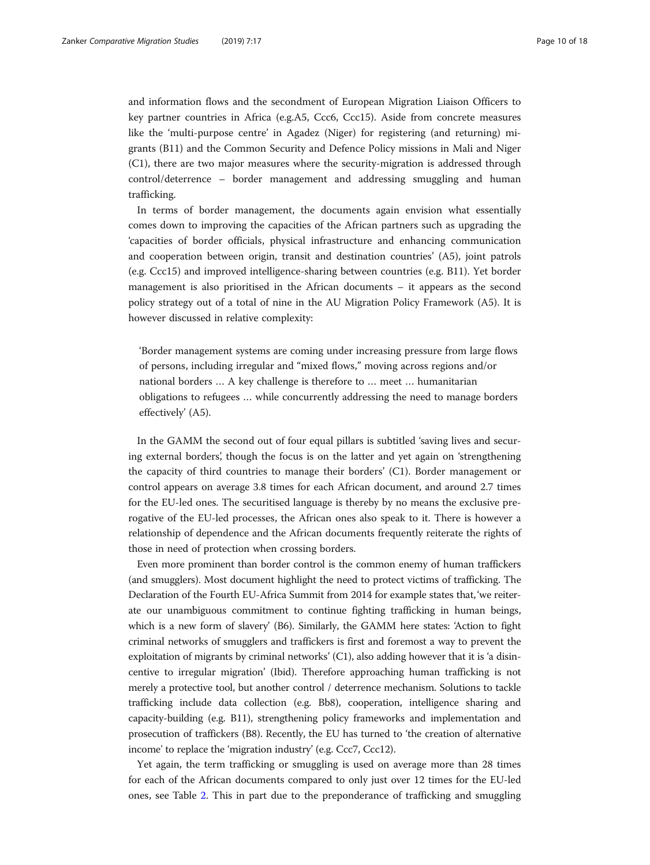and information flows and the secondment of European Migration Liaison Officers to key partner countries in Africa (e.g.A5, Ccc6, Ccc15). Aside from concrete measures like the 'multi-purpose centre' in Agadez (Niger) for registering (and returning) migrants (B11) and the Common Security and Defence Policy missions in Mali and Niger (C1), there are two major measures where the security-migration is addressed through control/deterrence – border management and addressing smuggling and human trafficking.

In terms of border management, the documents again envision what essentially comes down to improving the capacities of the African partners such as upgrading the 'capacities of border officials, physical infrastructure and enhancing communication and cooperation between origin, transit and destination countries' (A5), joint patrols (e.g. Ccc15) and improved intelligence-sharing between countries (e.g. B11). Yet border management is also prioritised in the African documents – it appears as the second policy strategy out of a total of nine in the AU Migration Policy Framework (A5). It is however discussed in relative complexity:

'Border management systems are coming under increasing pressure from large flows of persons, including irregular and "mixed flows," moving across regions and/or national borders … A key challenge is therefore to … meet … humanitarian obligations to refugees … while concurrently addressing the need to manage borders effectively' (A5).

In the GAMM the second out of four equal pillars is subtitled 'saving lives and securing external borders', though the focus is on the latter and yet again on 'strengthening the capacity of third countries to manage their borders' (C1). Border management or control appears on average 3.8 times for each African document, and around 2.7 times for the EU-led ones. The securitised language is thereby by no means the exclusive prerogative of the EU-led processes, the African ones also speak to it. There is however a relationship of dependence and the African documents frequently reiterate the rights of those in need of protection when crossing borders.

Even more prominent than border control is the common enemy of human traffickers (and smugglers). Most document highlight the need to protect victims of trafficking. The Declaration of the Fourth EU-Africa Summit from 2014 for example states that, 'we reiterate our unambiguous commitment to continue fighting trafficking in human beings, which is a new form of slavery' (B6). Similarly, the GAMM here states: 'Action to fight criminal networks of smugglers and traffickers is first and foremost a way to prevent the exploitation of migrants by criminal networks'  $(C1)$ , also adding however that it is 'a disincentive to irregular migration' (Ibid). Therefore approaching human trafficking is not merely a protective tool, but another control / deterrence mechanism. Solutions to tackle trafficking include data collection (e.g. Bb8), cooperation, intelligence sharing and capacity-building (e.g. B11), strengthening policy frameworks and implementation and prosecution of traffickers (B8). Recently, the EU has turned to 'the creation of alternative income' to replace the 'migration industry' (e.g. Ccc7, Ccc12).

Yet again, the term trafficking or smuggling is used on average more than 28 times for each of the African documents compared to only just over 12 times for the EU-led ones, see Table [2.](#page-5-0) This in part due to the preponderance of trafficking and smuggling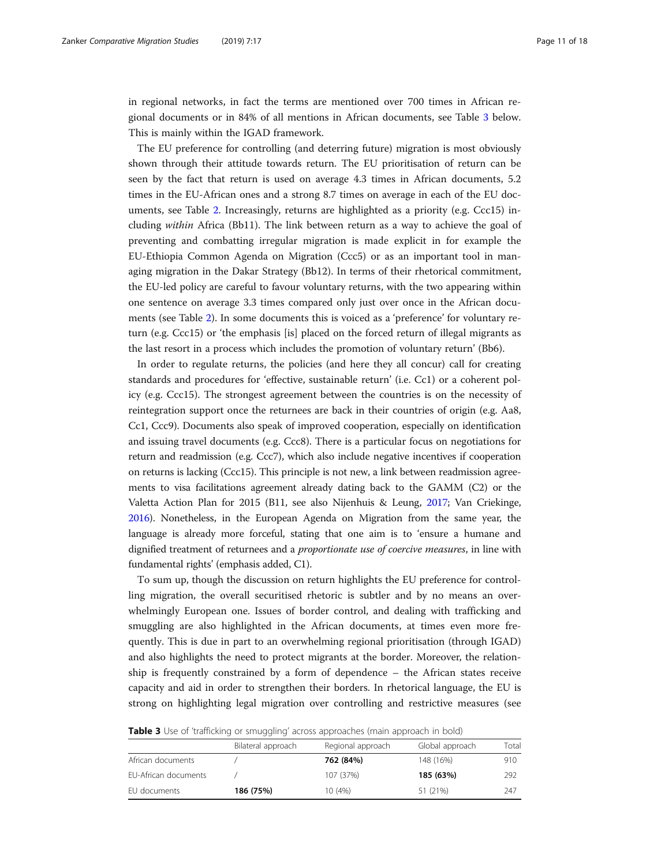in regional networks, in fact the terms are mentioned over 700 times in African regional documents or in 84% of all mentions in African documents, see Table 3 below. This is mainly within the IGAD framework.

The EU preference for controlling (and deterring future) migration is most obviously shown through their attitude towards return. The EU prioritisation of return can be seen by the fact that return is used on average 4.3 times in African documents, 5.2 times in the EU-African ones and a strong 8.7 times on average in each of the EU documents, see Table [2](#page-5-0). Increasingly, returns are highlighted as a priority (e.g. Ccc15) including within Africa (Bb11). The link between return as a way to achieve the goal of preventing and combatting irregular migration is made explicit in for example the EU-Ethiopia Common Agenda on Migration (Ccc5) or as an important tool in managing migration in the Dakar Strategy (Bb12). In terms of their rhetorical commitment, the EU-led policy are careful to favour voluntary returns, with the two appearing within one sentence on average 3.3 times compared only just over once in the African documents (see Table [2\)](#page-5-0). In some documents this is voiced as a 'preference' for voluntary return (e.g. Ccc15) or 'the emphasis [is] placed on the forced return of illegal migrants as the last resort in a process which includes the promotion of voluntary return' (Bb6).

In order to regulate returns, the policies (and here they all concur) call for creating standards and procedures for 'effective, sustainable return' (i.e. Cc1) or a coherent policy (e.g. Ccc15). The strongest agreement between the countries is on the necessity of reintegration support once the returnees are back in their countries of origin (e.g. Aa8, Cc1, Ccc9). Documents also speak of improved cooperation, especially on identification and issuing travel documents (e.g. Ccc8). There is a particular focus on negotiations for return and readmission (e.g. Ccc7), which also include negative incentives if cooperation on returns is lacking (Ccc15). This principle is not new, a link between readmission agreements to visa facilitations agreement already dating back to the GAMM (C2) or the Valetta Action Plan for 2015 (B11, see also Nijenhuis & Leung, [2017](#page-17-0); Van Criekinge, [2016\)](#page-17-0). Nonetheless, in the European Agenda on Migration from the same year, the language is already more forceful, stating that one aim is to 'ensure a humane and dignified treatment of returnees and a proportionate use of coercive measures, in line with fundamental rights' (emphasis added, C1).

To sum up, though the discussion on return highlights the EU preference for controlling migration, the overall securitised rhetoric is subtler and by no means an overwhelmingly European one. Issues of border control, and dealing with trafficking and smuggling are also highlighted in the African documents, at times even more frequently. This is due in part to an overwhelming regional prioritisation (through IGAD) and also highlights the need to protect migrants at the border. Moreover, the relationship is frequently constrained by a form of dependence – the African states receive capacity and aid in order to strengthen their borders. In rhetorical language, the EU is strong on highlighting legal migration over controlling and restrictive measures (see

|  | Table 3 Use of 'trafficking or smuggling' across approaches (main approach in bold) |  |
|--|-------------------------------------------------------------------------------------|--|
|  |                                                                                     |  |

|                      | Bilateral approach | Regional approach | Global approach | Total |
|----------------------|--------------------|-------------------|-----------------|-------|
| African documents    |                    | 762 (84%)         | 148 (16%)       | 910   |
| EU-African documents |                    | 107 (37%)         | 185 (63%)       | 292   |
| EU documents         | 186 (75%)          | 10(4%)            | 51 (21%)        | 247   |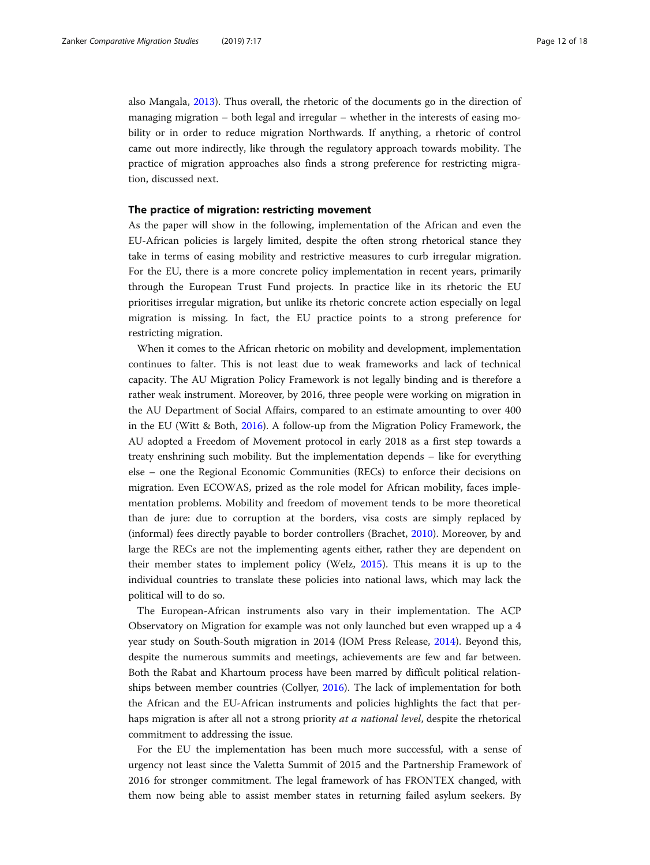also Mangala, [2013\)](#page-17-0). Thus overall, the rhetoric of the documents go in the direction of managing migration – both legal and irregular – whether in the interests of easing mobility or in order to reduce migration Northwards. If anything, a rhetoric of control came out more indirectly, like through the regulatory approach towards mobility. The practice of migration approaches also finds a strong preference for restricting migration, discussed next.

## The practice of migration: restricting movement

As the paper will show in the following, implementation of the African and even the EU-African policies is largely limited, despite the often strong rhetorical stance they take in terms of easing mobility and restrictive measures to curb irregular migration. For the EU, there is a more concrete policy implementation in recent years, primarily through the European Trust Fund projects. In practice like in its rhetoric the EU prioritises irregular migration, but unlike its rhetoric concrete action especially on legal migration is missing. In fact, the EU practice points to a strong preference for restricting migration.

When it comes to the African rhetoric on mobility and development, implementation continues to falter. This is not least due to weak frameworks and lack of technical capacity. The AU Migration Policy Framework is not legally binding and is therefore a rather weak instrument. Moreover, by 2016, three people were working on migration in the AU Department of Social Affairs, compared to an estimate amounting to over 400 in the EU (Witt & Both, [2016\)](#page-17-0). A follow-up from the Migration Policy Framework, the AU adopted a Freedom of Movement protocol in early 2018 as a first step towards a treaty enshrining such mobility. But the implementation depends – like for everything else – one the Regional Economic Communities (RECs) to enforce their decisions on migration. Even ECOWAS, prized as the role model for African mobility, faces implementation problems. Mobility and freedom of movement tends to be more theoretical than de jure: due to corruption at the borders, visa costs are simply replaced by (informal) fees directly payable to border controllers (Brachet, [2010\)](#page-17-0). Moreover, by and large the RECs are not the implementing agents either, rather they are dependent on their member states to implement policy (Welz, [2015](#page-17-0)). This means it is up to the individual countries to translate these policies into national laws, which may lack the political will to do so.

The European-African instruments also vary in their implementation. The ACP Observatory on Migration for example was not only launched but even wrapped up a 4 year study on South-South migration in 2014 (IOM Press Release, [2014\)](#page-17-0). Beyond this, despite the numerous summits and meetings, achievements are few and far between. Both the Rabat and Khartoum process have been marred by difficult political relationships between member countries (Collyer, [2016](#page-17-0)). The lack of implementation for both the African and the EU-African instruments and policies highlights the fact that perhaps migration is after all not a strong priority at a national level, despite the rhetorical commitment to addressing the issue.

For the EU the implementation has been much more successful, with a sense of urgency not least since the Valetta Summit of 2015 and the Partnership Framework of 2016 for stronger commitment. The legal framework of has FRONTEX changed, with them now being able to assist member states in returning failed asylum seekers. By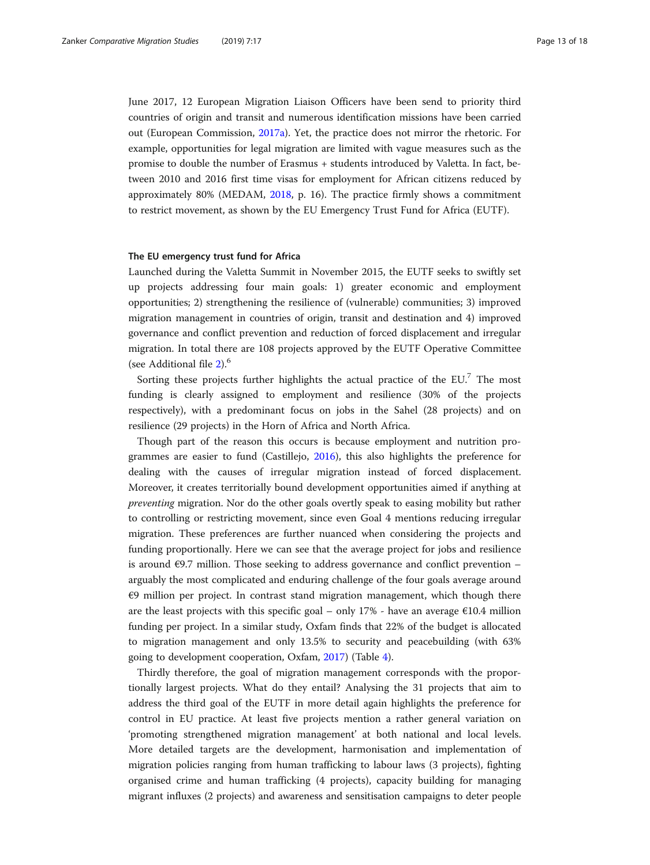June 2017, 12 European Migration Liaison Officers have been send to priority third countries of origin and transit and numerous identification missions have been carried out (European Commission, [2017a\)](#page-17-0). Yet, the practice does not mirror the rhetoric. For example, opportunities for legal migration are limited with vague measures such as the promise to double the number of Erasmus + students introduced by Valetta. In fact, between 2010 and 2016 first time visas for employment for African citizens reduced by approximately 80% (MEDAM, [2018](#page-17-0), p. 16). The practice firmly shows a commitment to restrict movement, as shown by the EU Emergency Trust Fund for Africa (EUTF).

## The EU emergency trust fund for Africa

Launched during the Valetta Summit in November 2015, the EUTF seeks to swiftly set up projects addressing four main goals: 1) greater economic and employment opportunities; 2) strengthening the resilience of (vulnerable) communities; 3) improved migration management in countries of origin, transit and destination and 4) improved governance and conflict prevention and reduction of forced displacement and irregular migration. In total there are 108 projects approved by the EUTF Operative Committee (see Additional file [2\)](#page-16-0).<sup>6</sup>

Sorting these projects further highlights the actual practice of the EU. $<sup>7</sup>$  The most</sup> funding is clearly assigned to employment and resilience (30% of the projects respectively), with a predominant focus on jobs in the Sahel (28 projects) and on resilience (29 projects) in the Horn of Africa and North Africa.

Though part of the reason this occurs is because employment and nutrition programmes are easier to fund (Castillejo, [2016](#page-17-0)), this also highlights the preference for dealing with the causes of irregular migration instead of forced displacement. Moreover, it creates territorially bound development opportunities aimed if anything at preventing migration. Nor do the other goals overtly speak to easing mobility but rather to controlling or restricting movement, since even Goal 4 mentions reducing irregular migration. These preferences are further nuanced when considering the projects and funding proportionally. Here we can see that the average project for jobs and resilience is around  $\epsilon$ 9.7 million. Those seeking to address governance and conflict prevention – arguably the most complicated and enduring challenge of the four goals average around €9 million per project. In contrast stand migration management, which though there are the least projects with this specific goal – only 17% - have an average  $\epsilon$ 10.4 million funding per project. In a similar study, Oxfam finds that 22% of the budget is allocated to migration management and only 13.5% to security and peacebuilding (with 63% going to development cooperation, Oxfam, [2017](#page-17-0)) (Table [4\)](#page-13-0).

Thirdly therefore, the goal of migration management corresponds with the proportionally largest projects. What do they entail? Analysing the 31 projects that aim to address the third goal of the EUTF in more detail again highlights the preference for control in EU practice. At least five projects mention a rather general variation on 'promoting strengthened migration management' at both national and local levels. More detailed targets are the development, harmonisation and implementation of migration policies ranging from human trafficking to labour laws (3 projects), fighting organised crime and human trafficking (4 projects), capacity building for managing migrant influxes (2 projects) and awareness and sensitisation campaigns to deter people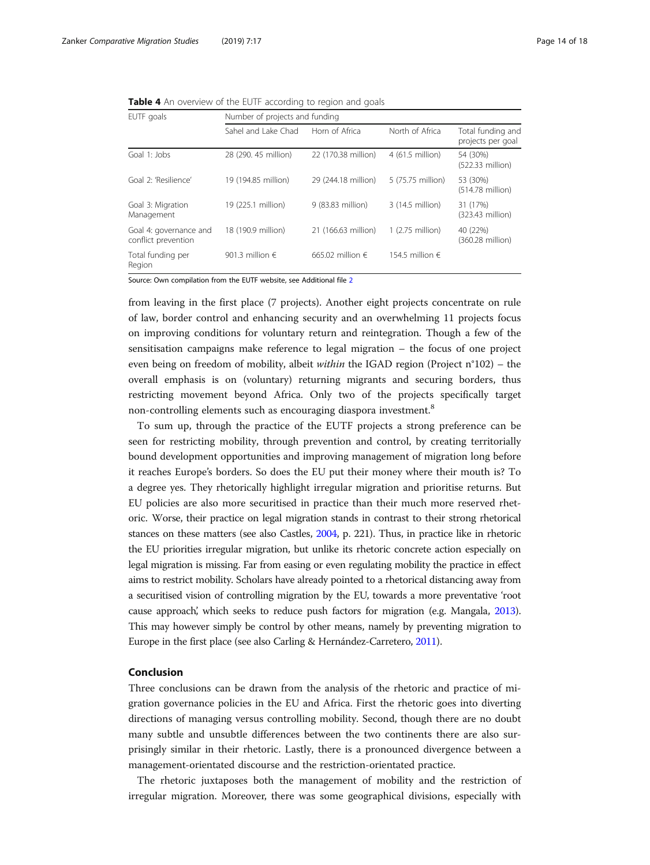<span id="page-13-0"></span>Table 4 An overview of the EUTF according to region and goals

| EUTF goals                                    | Number of projects and funding |                           |                          |                                        |  |  |
|-----------------------------------------------|--------------------------------|---------------------------|--------------------------|----------------------------------------|--|--|
|                                               | Sahel and Lake Chad            | Horn of Africa            | North of Africa          | Total funding and<br>projects per goal |  |  |
| Goal 1: Jobs                                  | 28 (290, 45 million)           | 22 (170.38 million)       | 4 (61.5 million)         | 54 (30%)<br>(522.33 million)           |  |  |
| Goal 2: 'Resilience'                          | 19 (194.85 million)            | 29 (244.18 million)       | 5 (75.75 million)        | 53 (30%)<br>(514.78 million)           |  |  |
| Goal 3: Migration<br>Management               | 19 (225.1 million)             | 9 (83.83 million)         | 3 (14.5 million)         | 31 (17%)<br>(323.43 million)           |  |  |
| Goal 4: governance and<br>conflict prevention | 18 (190.9 million)             | 21 (166.63 million)       | 1 (2.75 million)         | 40 (22%)<br>(360.28 million)           |  |  |
| Total funding per<br>Region                   | 901.3 million $\epsilon$       | 665.02 million $\epsilon$ | 154.5 million $\epsilon$ |                                        |  |  |

Source: Own compilation from the EUTF website, see Additional file [2](#page-16-0)

from leaving in the first place (7 projects). Another eight projects concentrate on rule of law, border control and enhancing security and an overwhelming 11 projects focus on improving conditions for voluntary return and reintegration. Though a few of the sensitisation campaigns make reference to legal migration – the focus of one project even being on freedom of mobility, albeit within the IGAD region (Project n°102) – the overall emphasis is on (voluntary) returning migrants and securing borders, thus restricting movement beyond Africa. Only two of the projects specifically target non-controlling elements such as encouraging diaspora investment.<sup>8</sup>

To sum up, through the practice of the EUTF projects a strong preference can be seen for restricting mobility, through prevention and control, by creating territorially bound development opportunities and improving management of migration long before it reaches Europe's borders. So does the EU put their money where their mouth is? To a degree yes. They rhetorically highlight irregular migration and prioritise returns. But EU policies are also more securitised in practice than their much more reserved rhetoric. Worse, their practice on legal migration stands in contrast to their strong rhetorical stances on these matters (see also Castles, [2004,](#page-17-0) p. 221). Thus, in practice like in rhetoric the EU priorities irregular migration, but unlike its rhetoric concrete action especially on legal migration is missing. Far from easing or even regulating mobility the practice in effect aims to restrict mobility. Scholars have already pointed to a rhetorical distancing away from a securitised vision of controlling migration by the EU, towards a more preventative 'root cause approach, which seeks to reduce push factors for migration (e.g. Mangala, [2013](#page-17-0)). This may however simply be control by other means, namely by preventing migration to Europe in the first place (see also Carling & Hernández-Carretero, [2011](#page-17-0)).

## Conclusion

Three conclusions can be drawn from the analysis of the rhetoric and practice of migration governance policies in the EU and Africa. First the rhetoric goes into diverting directions of managing versus controlling mobility. Second, though there are no doubt many subtle and unsubtle differences between the two continents there are also surprisingly similar in their rhetoric. Lastly, there is a pronounced divergence between a management-orientated discourse and the restriction-orientated practice.

The rhetoric juxtaposes both the management of mobility and the restriction of irregular migration. Moreover, there was some geographical divisions, especially with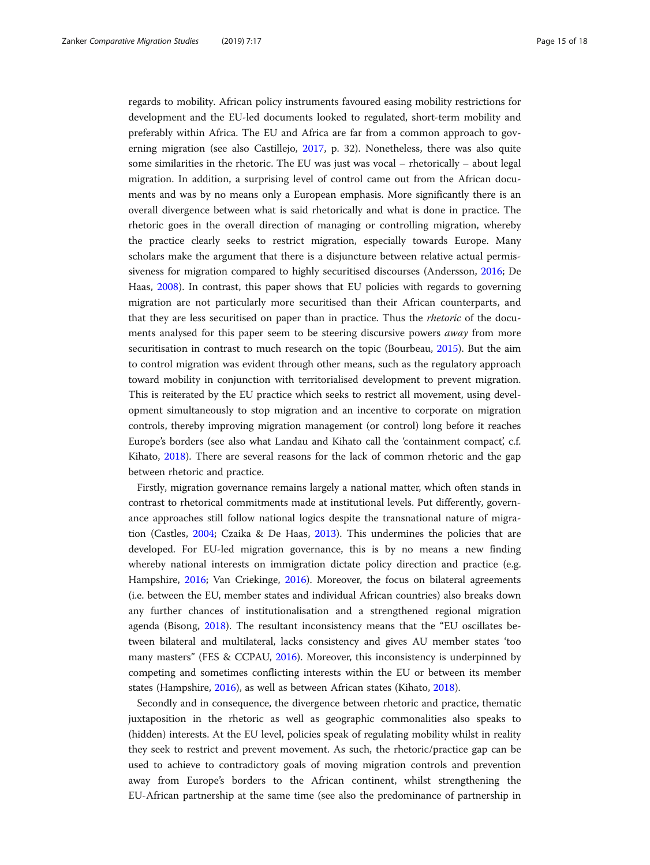regards to mobility. African policy instruments favoured easing mobility restrictions for development and the EU-led documents looked to regulated, short-term mobility and preferably within Africa. The EU and Africa are far from a common approach to governing migration (see also Castillejo, [2017](#page-17-0), p. 32). Nonetheless, there was also quite some similarities in the rhetoric. The EU was just was vocal – rhetorically – about legal migration. In addition, a surprising level of control came out from the African documents and was by no means only a European emphasis. More significantly there is an overall divergence between what is said rhetorically and what is done in practice. The rhetoric goes in the overall direction of managing or controlling migration, whereby the practice clearly seeks to restrict migration, especially towards Europe. Many scholars make the argument that there is a disjuncture between relative actual permissiveness for migration compared to highly securitised discourses (Andersson, [2016;](#page-17-0) De Haas, [2008\)](#page-17-0). In contrast, this paper shows that EU policies with regards to governing migration are not particularly more securitised than their African counterparts, and that they are less securitised on paper than in practice. Thus the *rhetoric* of the documents analysed for this paper seem to be steering discursive powers *away* from more securitisation in contrast to much research on the topic (Bourbeau, [2015\)](#page-17-0). But the aim to control migration was evident through other means, such as the regulatory approach toward mobility in conjunction with territorialised development to prevent migration. This is reiterated by the EU practice which seeks to restrict all movement, using development simultaneously to stop migration and an incentive to corporate on migration controls, thereby improving migration management (or control) long before it reaches Europe's borders (see also what Landau and Kihato call the 'containment compact', c.f. Kihato, [2018](#page-17-0)). There are several reasons for the lack of common rhetoric and the gap between rhetoric and practice.

Firstly, migration governance remains largely a national matter, which often stands in contrast to rhetorical commitments made at institutional levels. Put differently, governance approaches still follow national logics despite the transnational nature of migration (Castles, [2004](#page-17-0); Czaika & De Haas, [2013](#page-17-0)). This undermines the policies that are developed. For EU-led migration governance, this is by no means a new finding whereby national interests on immigration dictate policy direction and practice (e.g. Hampshire, [2016;](#page-17-0) Van Criekinge, [2016\)](#page-17-0). Moreover, the focus on bilateral agreements (i.e. between the EU, member states and individual African countries) also breaks down any further chances of institutionalisation and a strengthened regional migration agenda (Bisong, [2018](#page-17-0)). The resultant inconsistency means that the "EU oscillates between bilateral and multilateral, lacks consistency and gives AU member states 'too many masters" (FES & CCPAU, [2016](#page-17-0)). Moreover, this inconsistency is underpinned by competing and sometimes conflicting interests within the EU or between its member states (Hampshire, [2016](#page-17-0)), as well as between African states (Kihato, [2018\)](#page-17-0).

Secondly and in consequence, the divergence between rhetoric and practice, thematic juxtaposition in the rhetoric as well as geographic commonalities also speaks to (hidden) interests. At the EU level, policies speak of regulating mobility whilst in reality they seek to restrict and prevent movement. As such, the rhetoric/practice gap can be used to achieve to contradictory goals of moving migration controls and prevention away from Europe's borders to the African continent, whilst strengthening the EU-African partnership at the same time (see also the predominance of partnership in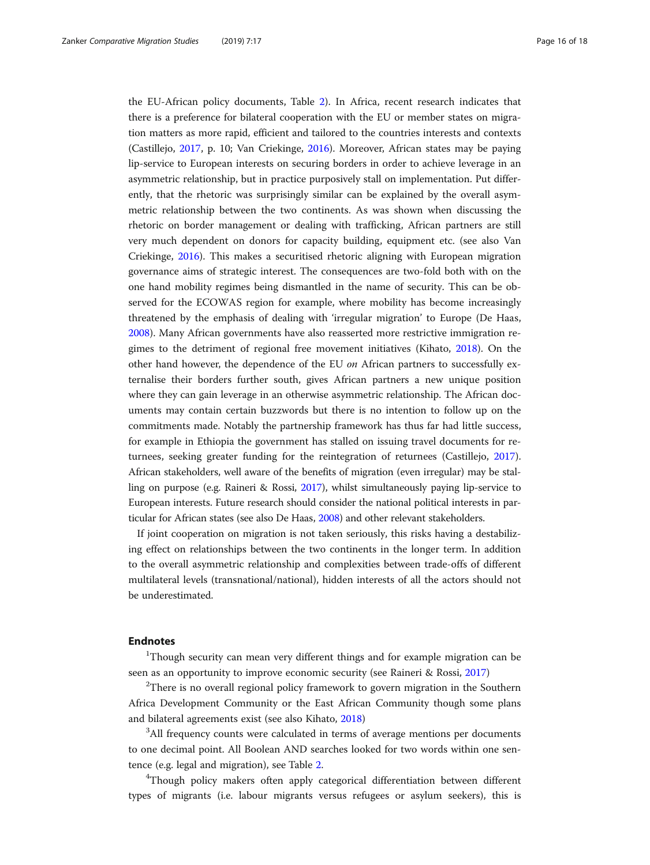the EU-African policy documents, Table [2\)](#page-5-0). In Africa, recent research indicates that there is a preference for bilateral cooperation with the EU or member states on migration matters as more rapid, efficient and tailored to the countries interests and contexts (Castillejo, [2017](#page-17-0), p. 10; Van Criekinge, [2016\)](#page-17-0). Moreover, African states may be paying lip-service to European interests on securing borders in order to achieve leverage in an asymmetric relationship, but in practice purposively stall on implementation. Put differently, that the rhetoric was surprisingly similar can be explained by the overall asymmetric relationship between the two continents. As was shown when discussing the rhetoric on border management or dealing with trafficking, African partners are still very much dependent on donors for capacity building, equipment etc. (see also Van Criekinge, [2016\)](#page-17-0). This makes a securitised rhetoric aligning with European migration governance aims of strategic interest. The consequences are two-fold both with on the one hand mobility regimes being dismantled in the name of security. This can be observed for the ECOWAS region for example, where mobility has become increasingly threatened by the emphasis of dealing with 'irregular migration' to Europe (De Haas, [2008](#page-17-0)). Many African governments have also reasserted more restrictive immigration regimes to the detriment of regional free movement initiatives (Kihato, [2018](#page-17-0)). On the other hand however, the dependence of the EU on African partners to successfully externalise their borders further south, gives African partners a new unique position where they can gain leverage in an otherwise asymmetric relationship. The African documents may contain certain buzzwords but there is no intention to follow up on the commitments made. Notably the partnership framework has thus far had little success, for example in Ethiopia the government has stalled on issuing travel documents for returnees, seeking greater funding for the reintegration of returnees (Castillejo, [2017](#page-17-0)). African stakeholders, well aware of the benefits of migration (even irregular) may be stalling on purpose (e.g. Raineri & Rossi, [2017](#page-17-0)), whilst simultaneously paying lip-service to European interests. Future research should consider the national political interests in particular for African states (see also De Haas, [2008](#page-17-0)) and other relevant stakeholders.

If joint cooperation on migration is not taken seriously, this risks having a destabilizing effect on relationships between the two continents in the longer term. In addition to the overall asymmetric relationship and complexities between trade-offs of different multilateral levels (transnational/national), hidden interests of all the actors should not be underestimated.

#### Endnotes

<sup>1</sup>Though security can mean very different things and for example migration can be seen as an opportunity to improve economic security (see Raineri & Rossi, [2017\)](#page-17-0)

 $^{2}$ There is no overall regional policy framework to govern migration in the Southern Africa Development Community or the East African Community though some plans and bilateral agreements exist (see also Kihato, [2018\)](#page-17-0)

<sup>3</sup>All frequency counts were calculated in terms of average mentions per documents to one decimal point. All Boolean AND searches looked for two words within one sentence (e.g. legal and migration), see Table [2](#page-5-0).

<sup>4</sup>Though policy makers often apply categorical differentiation between different types of migrants (i.e. labour migrants versus refugees or asylum seekers), this is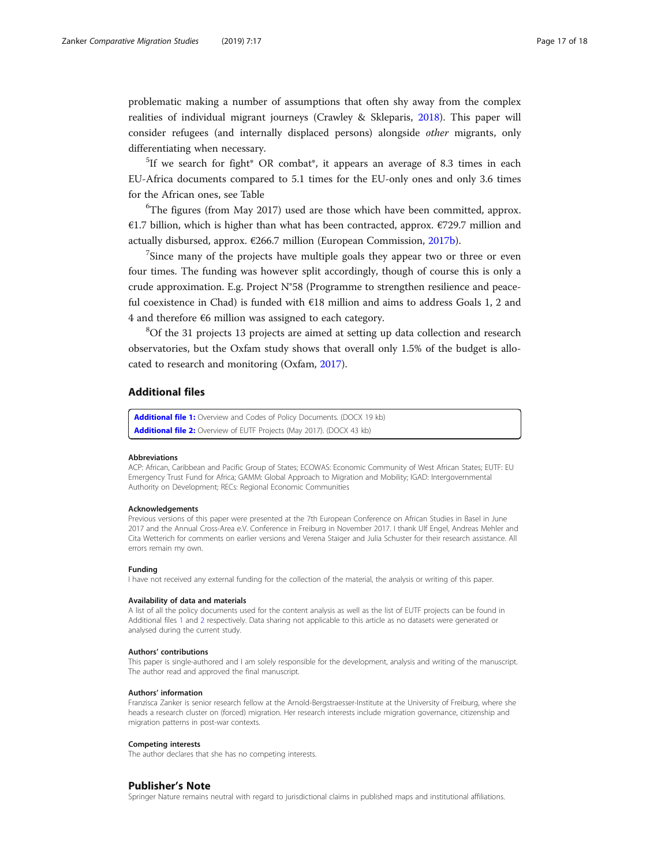<span id="page-16-0"></span>problematic making a number of assumptions that often shy away from the complex realities of individual migrant journeys (Crawley & Skleparis, [2018\)](#page-17-0). This paper will consider refugees (and internally displaced persons) alongside other migrants, only differentiating when necessary.

 ${}^{5}$ If we search for fight\* OR combat\*, it appears an average of 8.3 times in each EU-Africa documents compared to 5.1 times for the EU-only ones and only 3.6 times for the African ones, see Table

<sup>6</sup>The figures (from May 2017) used are those which have been committed, approx. €1.7 billion, which is higher than what has been contracted, approx.  $€729.7$  million and actually disbursed, approx. €266.7 million (European Commission, [2017b](#page-17-0)).

 $7$ Since many of the projects have multiple goals they appear two or three or even four times. The funding was however split accordingly, though of course this is only a crude approximation. E.g. Project N°58 (Programme to strengthen resilience and peaceful coexistence in Chad) is funded with €18 million and aims to address Goals 1, 2 and 4 and therefore €6 million was assigned to each category.

<sup>8</sup>Of the 31 projects 13 projects are aimed at setting up data collection and research observatories, but the Oxfam study shows that overall only 1.5% of the budget is allocated to research and monitoring (Oxfam, [2017](#page-17-0)).

## Additional files

[Additional file 1:](https://doi.org/10.1186/s40878-019-0115-9) Overview and Codes of Policy Documents. (DOCX 19 kb) [Additional file 2:](https://doi.org/10.1186/s40878-019-0115-9) Overview of EUTF Projects (May 2017). (DOCX 43 kb)

#### Abbreviations

ACP: African, Caribbean and Pacific Group of States; ECOWAS: Economic Community of West African States; EUTF: EU Emergency Trust Fund for Africa; GAMM: Global Approach to Migration and Mobility; IGAD: Intergovernmental Authority on Development; RECs: Regional Economic Communities

#### **Acknowledgements**

Previous versions of this paper were presented at the 7th European Conference on African Studies in Basel in June 2017 and the Annual Cross-Area e.V. Conference in Freiburg in November 2017. I thank Ulf Engel, Andreas Mehler and Cita Wetterich for comments on earlier versions and Verena Staiger and Julia Schuster for their research assistance. All errors remain my own.

#### Funding

I have not received any external funding for the collection of the material, the analysis or writing of this paper.

#### Availability of data and materials

A list of all the policy documents used for the content analysis as well as the list of EUTF projects can be found in Additional files 1 and 2 respectively. Data sharing not applicable to this article as no datasets were generated or analysed during the current study.

#### Authors' contributions

This paper is single-authored and I am solely responsible for the development, analysis and writing of the manuscript. The author read and approved the final manuscript.

#### Authors' information

Franzisca Zanker is senior research fellow at the Arnold-Bergstraesser-Institute at the University of Freiburg, where she heads a research cluster on (forced) migration. Her research interests include migration governance, citizenship and migration patterns in post-war contexts.

#### Competing interests

The author declares that she has no competing interests.

#### Publisher's Note

Springer Nature remains neutral with regard to jurisdictional claims in published maps and institutional affiliations.